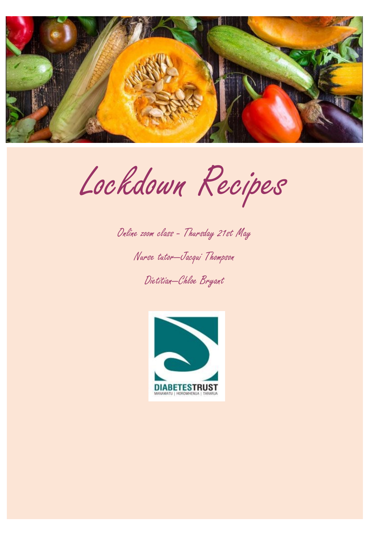

Lockdown Recipes

Online zoom class - Thursday 21st May

Nurse tutor—Jacqui Thompson

Dietitian—Chloe Bryant

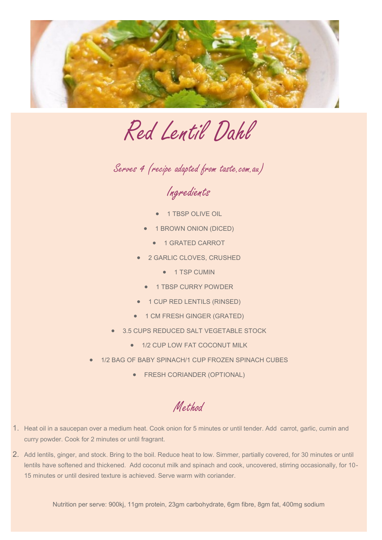

Red Lentil Dahl

Serves 4 (recipe adapted from taste.com.au)

Ingredients

- 1 TBSP OLIVE OIL
- 1 BROWN ONION (DICED)
	- **1 GRATED CARROT**
- 2 GARLIC CLOVES, CRUSHED
	- **1 TSP CUMIN**
	- **1 TBSP CURRY POWDER**
- **•** 1 CUP RED LENTILS (RINSED)
- **1 CM FRESH GINGER (GRATED)**
- 3.5 CUPS REDUCED SALT VEGETABLE STOCK
	- $\bullet$  1/2 CUP LOW FAT COCONUT MILK
- 1/2 BAG OF BABY SPINACH/1 CUP FROZEN SPINACH CUBES
	- **FRESH CORIANDER (OPTIONAL)**

Method

- 1. Heat oil in a saucepan over a medium heat. Cook onion for 5 minutes or until tender. Add carrot, garlic, cumin and curry powder. Cook for 2 minutes or until fragrant.
- 2. Add lentils, ginger, and stock. Bring to the boil. Reduce heat to low. Simmer, partially covered, for 30 minutes or until lentils have softened and thickened. Add coconut milk and spinach and cook, uncovered, stirring occasionally, for 10-15 minutes or until desired texture is achieved. Serve warm with coriander.

Nutrition per serve: 900kj, 11gm protein, 23gm carbohydrate, 6gm fibre, 8gm fat, 400mg sodium